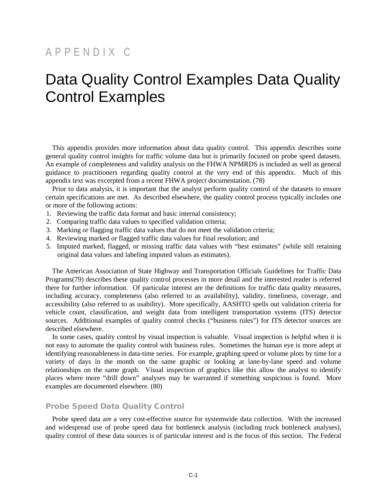# APPENDIX C

# Data Quality Control Examples Data Quality Control Examples

This appendix provides more information about data quality control. This appendix describes some general quality control insights for traffic volume data but is primarily focused on probe speed datasets. An example of completeness and validity analysis on the FHWA NPMRDS is included as well as general guidance to practitioners regarding quality control at the very end of this appendix. Much of this appendix text was excerpted from a recent FHWA project documentation. (78)

Prior to data analysis, it is important that the analyst perform quality control of the datasets to ensure certain specifications are met. As described elsewhere, the quality control process typically includes one or more of the following actions:

- 1. Reviewing the traffic data format and basic internal consistency;
- 2. Comparing traffic data values to specified validation criteria;
- 3. Marking or flagging traffic data values that do not meet the validation criteria;
- 4. Reviewing marked or flagged traffic data values for final resolution; and
- 5. Imputed marked, flagged, or missing traffic data values with "best estimates" (while still retaining original data values and labeling imputed values as estimates).

The American Association of State Highway and Transportation Officials Guidelines for Traffic Data Programs(79) describes these quality control processes in more detail and the interested reader is referred there for further information. Of particular interest are the definitions for traffic data quality measures, including accuracy, completeness (also referred to as availability), validity, timeliness, coverage, and accessibility (also referred to as usability). More specifically, AASHTO spells out validation criteria for vehicle count, classification, and weight data from intelligent transportation systems (ITS) detector sources. Additional examples of quality control checks ("business rules") for ITS detector sources are described elsewhere.

In some cases, quality control by visual inspection is valuable. Visual inspection is helpful when it is not easy to automate the quality control with business rules. Sometimes the human eye is more adept at identifying reasonableness in data-time series. For example, graphing speed or volume plots by time for a variety of days in the month on the same graphic or looking at lane-by-lane speed and volume relationships on the same graph. Visual inspection of graphics like this allow the analyst to identify places where more "drill down" analyses may be warranted if something suspicious is found. More examples are documented elsewhere. (80)

## Probe Speed Data Quality Control

Probe speed data are a very cost-effective source for systemwide data collection. With the increased and widespread use of probe speed data for bottleneck analysis (including truck bottleneck analyses), quality control of these data sources is of particular interest and is the focus of this section. The Federal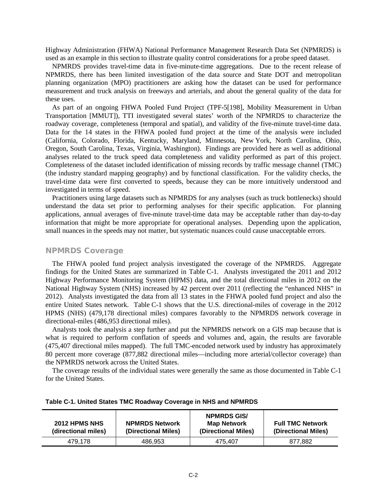Highway Administration (FHWA) National Performance Management Research Data Set (NPMRDS) is used as an example in this section to illustrate quality control considerations for a probe speed dataset.

NPMRDS provides travel-time data in five-minute-time aggregations. Due to the recent release of NPMRDS, there has been limited investigation of the data source and State DOT and metropolitan planning organization (MPO) practitioners are asking how the dataset can be used for performance measurement and truck analysis on freeways and arterials, and about the general quality of the data for these uses.

As part of an ongoing FHWA Pooled Fund Project (TPF-5[198], Mobility Measurement in Urban Transportation [MMUT]), TTI investigated several states' worth of the NPMRDS to characterize the roadway coverage, completeness (temporal and spatial), and validity of the five-minute travel-time data. Data for the 14 states in the FHWA pooled fund project at the time of the analysis were included (California, Colorado, Florida, Kentucky, Maryland, Minnesota, New York, North Carolina, Ohio, Oregon, South Carolina, Texas, Virginia, Washington). Findings are provided here as well as additional analyses related to the truck speed data completeness and validity performed as part of this project. Completeness of the dataset included identification of missing records by traffic message channel (TMC) (the industry standard mapping geography) and by functional classification. For the validity checks, the travel-time data were first converted to speeds, because they can be more intuitively understood and investigated in terms of speed.

Practitioners using large datasets such as NPMRDS for any analyses (such as truck bottlenecks) should understand the data set prior to performing analyses for their specific application. For planning applications, annual averages of five-minute travel-time data may be acceptable rather than day-to-day information that might be more appropriate for operational analyses. Depending upon the application, small nuances in the speeds may not matter, but systematic nuances could cause unacceptable errors.

## NPMRDS Coverage

The FHWA pooled fund project analysis investigated the coverage of the NPMRDS. Aggregate findings for the United States are summarized in Table C-1. Analysts investigated the 2011 and 2012 Highway Performance Monitoring System (HPMS) data, and the total directional miles in 2012 on the National Highway System (NHS) increased by 42 percent over 2011 (reflecting the "enhanced NHS" in 2012). Analysts investigated the data from all 13 states in the FHWA pooled fund project and also the entire United States network. Table C-1 shows that the U.S. directional-miles of coverage in the 2012 HPMS (NHS) (479,178 directional miles) compares favorably to the NPMRDS network coverage in directional-miles (486,953 directional miles).

Analysts took the analysis a step further and put the NPMRDS network on a GIS map because that is what is required to perform conflation of speeds and volumes and, again, the results are favorable (475,407 directional miles mapped). The full TMC-encoded network used by industry has approximately 80 percent more coverage (877,882 directional miles—including more arterial/collector coverage) than the NPMRDS network across the United States.

The coverage results of the individual states were generally the same as those documented in Table C-1 for the United States.

| 2012 HPMS NHS<br>(directional miles) | <b>NPMRDS Network</b><br>(Directional Miles) | <b>NPMRDS GIS/</b><br><b>Map Network</b><br>(Directional Miles) | <b>Full TMC Network</b><br>(Directional Miles) |
|--------------------------------------|----------------------------------------------|-----------------------------------------------------------------|------------------------------------------------|
| 479.178                              | 486.953                                      | 475.407                                                         | 877.882                                        |

|  |  |  |  | Table C-1. United States TMC Roadway Coverage in NHS and NPMRDS |
|--|--|--|--|-----------------------------------------------------------------|
|--|--|--|--|-----------------------------------------------------------------|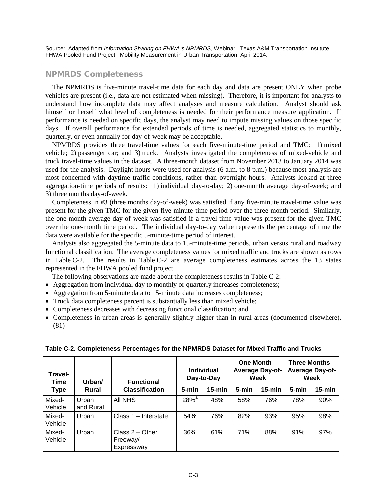Source: Adapted from *Information Sharing on FHWA's NPMRDS*, Webinar. Texas A&M Transportation Institute, FHWA Pooled Fund Project: Mobility Measurement in Urban Transportation, April 2014.

## NPMRDS Completeness

The NPMRDS is five-minute travel-time data for each day and data are present ONLY when probe vehicles are present (i.e., data are not estimated when missing). Therefore, it is important for analysts to understand how incomplete data may affect analyses and measure calculation. Analyst should ask himself or herself what level of completeness is needed for their performance measure application. If performance is needed on specific days, the analyst may need to impute missing values on those specific days. If overall performance for extended periods of time is needed, aggregated statistics to monthly, quarterly, or even annually for day-of-week may be acceptable.

NPMRDS provides three travel-time values for each five-minute-time period and TMC: 1) mixed vehicle; 2) passenger car; and 3) truck. Analysts investigated the completeness of mixed-vehicle and truck travel-time values in the dataset. A three-month dataset from November 2013 to January 2014 was used for the analysis. Daylight hours were used for analysis (6 a.m. to 8 p.m.) because most analysis are most concerned with daytime traffic conditions, rather than overnight hours. Analysts looked at three aggregation-time periods of results: 1) individual day-to-day; 2) one-month average day-of-week; and 3) three months day-of-week.

Completeness in #3 (three months day-of-week) was satisfied if any five-minute travel-time value was present for the given TMC for the given five-minute-time period over the three-month period. Similarly, the one-month average day-of-week was satisfied if a travel-time value was present for the given TMC over the one-month time period. The individual day-to-day value represents the percentage of time the data were available for the specific 5-minute-time period of interest.

Analysts also aggregated the 5-minute data to 15-minute-time periods, urban versus rural and roadway functional classification. The average completeness values for mixed traffic and trucks are shown as rows in Table C-2. The results in Table C-2 are average completeness estimates across the 13 states represented in the FHWA pooled fund project.

The following observations are made about the completeness results in Table C-2:

- Aggregation from individual day to monthly or quarterly increases completeness;
- Aggregation from 5-minute data to 15-minute data increases completeness;
- Truck data completeness percent is substantially less than mixed vehicle;
- Completeness decreases with decreasing functional classification; and
- Completeness in urban areas is generally slightly higher than in rural areas (documented elsewhere). (81)

| <b>Travel-</b><br>Time | <b>Individual</b><br>Day-to-Day<br>Urban/<br><b>Functional</b> |                                             |                    | One Month $-$<br><b>Average Day-of-</b><br>Week |       | Three Months -<br><b>Average Day-of-</b><br>Week |       |            |
|------------------------|----------------------------------------------------------------|---------------------------------------------|--------------------|-------------------------------------------------|-------|--------------------------------------------------|-------|------------|
| <b>Type</b>            | Rural                                                          | <b>Classification</b>                       | 5-min              | $15$ -min                                       | 5-min | $15$ -min                                        | 5-min | $15 - min$ |
| Mixed-<br>Vehicle      | Urban<br>and Rural                                             | All NHS                                     | $28%$ <sup>a</sup> | 48%                                             | 58%   | 76%                                              | 78%   | 90%        |
| Mixed-<br>Vehicle      | Urban                                                          | Class 1 - Interstate                        | 54%                | 76%                                             | 82%   | 93%                                              | 95%   | 98%        |
| Mixed-<br>Vehicle      | Urban                                                          | Class $2 -$ Other<br>Freeway/<br>Expressway | 36%                | 61%                                             | 71%   | 88%                                              | 91%   | 97%        |

#### **Table C-2. Completeness Percentages for the NPMRDS Dataset for Mixed Traffic and Trucks**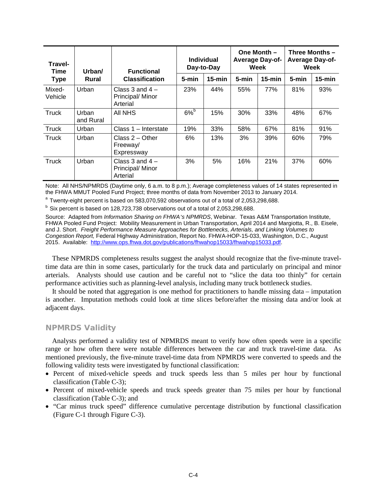| Travel-<br>Time   | Urban/<br>Rural    | <b>Functional</b><br><b>Classification</b>          | <b>Individual</b><br>Day-to-Day |            | One Month $-$<br><b>Average Day-of-</b><br>Week |           | Three Months -<br><b>Average Day-of-</b><br><b>Week</b> |           |
|-------------------|--------------------|-----------------------------------------------------|---------------------------------|------------|-------------------------------------------------|-----------|---------------------------------------------------------|-----------|
| <b>Type</b>       |                    |                                                     | 5-min                           | $15 - min$ | 5-min                                           | $15$ -min | 5-min                                                   | $15$ -min |
| Mixed-<br>Vehicle | Urban              | Class $3$ and $4 -$<br>Principal/ Minor<br>Arterial | 23%                             | 44%        | 55%                                             | 77%       | 81%                                                     | 93%       |
| Truck             | Urban<br>and Rural | AII NHS                                             | $6%^{b}$                        | 15%        | 30%                                             | 33%       | 48%                                                     | 67%       |
| Truck             | Urban              | Class 1 - Interstate                                | 19%                             | 33%        | 58%                                             | 67%       | 81%                                                     | 91%       |
| Truck             | Urban              | Class $2 -$ Other<br>Freeway/<br>Expressway         | 6%                              | 13%        | 3%                                              | 39%       | 60%                                                     | 79%       |
| Truck             | Urban              | Class 3 and $4-$<br>Principal/ Minor<br>Arterial    | 3%                              | 5%         | 16%                                             | 21%       | 37%                                                     | 60%       |

Note: All NHS/NPMRDS (Daytime only, 6 a.m. to 8 p.m.); Average completeness values of 14 states represented in the FHWA MMUT Pooled Fund Project; three months of data from November 2013 to January 2014.

<sup>a</sup> Twenty-eight percent is based on 583,070,592 observations out of a total of 2,053,298,688.

 $b$  Six percent is based on 128,723,738 observations out of a total of 2,053,298,688.

Source: Adapted from *Information Sharing on FHWA's NPMRDS*, Webinar. Texas A&M Transportation Institute, FHWA Pooled Fund Project: Mobility Measurement in Urban Transportation, April 2014 and Margiotta, R., B. Eisele, and J. Short. *Freight Performance Measure Approaches for Bottlenecks, Arterials, and Linking Volumes to Congestion Report,* Federal Highway Administration, Report No. FHWA-HOP-15-033, Washington, D.C., August 2015. Available: [http://www.ops.fhwa.dot.gov/publications/fhwahop15033/fhwahop15033.pdf.](http://www.ops.fhwa.dot.gov/publications/fhwahop15033/fhwahop15033.pdf)

These NPMRDS completeness results suggest the analyst should recognize that the five-minute traveltime data are thin in some cases, particularly for the truck data and particularly on principal and minor arterials. Analysts should use caution and be careful not to "slice the data too thinly" for certain performance activities such as planning-level analysis, including many truck bottleneck studies.

It should be noted that aggregation is one method for practitioners to handle missing data – imputation is another. Imputation methods could look at time slices before/after the missing data and/or look at adjacent days.

#### NPMRDS Validity

Analysts performed a validity test of NPMRDS meant to verify how often speeds were in a specific range or how often there were notable differences between the car and truck travel-time data. As mentioned previously, the five-minute travel-time data from NPMRDS were converted to speeds and the following validity tests were investigated by functional classification:

- Percent of mixed-vehicle speeds and truck speeds less than 5 miles per hour by functional classification (Table C-3);
- Percent of mixed-vehicle speeds and truck speeds greater than 75 miles per hour by functional classification (Table C-3); and
- "Car minus truck speed" difference cumulative percentage distribution by functional classification (Figure C-1 through Figure C-3).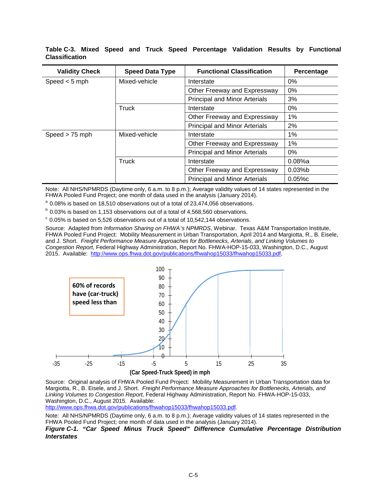| <b>Validity Check</b> | <b>Speed Data Type</b>       | <b>Functional Classification</b>     | Percentage |
|-----------------------|------------------------------|--------------------------------------|------------|
| Speed $<$ 5 mph       | Mixed-vehicle                | Interstate                           | $0\%$      |
|                       |                              | Other Freeway and Expressway         | 0%         |
|                       |                              | <b>Principal and Minor Arterials</b> | 3%         |
|                       | Truck                        | Interstate                           | 0%         |
|                       |                              | Other Freeway and Expressway         | 1%         |
|                       |                              | <b>Principal and Minor Arterials</b> | 2%         |
| Speed $> 75$ mph      | Mixed-vehicle                | Interstate                           | $1\%$      |
|                       |                              | Other Freeway and Expressway         | 1%         |
|                       |                              | <b>Principal and Minor Arterials</b> | $0\%$      |
|                       | Truck                        | Interstate                           | $0.08%$ a  |
|                       | Other Freeway and Expressway |                                      | $0.03%$ b  |
|                       |                              | <b>Principal and Minor Arterials</b> | 0.05%c     |

**Table C-3. Mixed Speed and Truck Speed Percentage Validation Results by Functional Classification**

Note: All NHS/NPMRDS (Daytime only, 6 a.m. to 8 p.m.); Average validity values of 14 states represented in the FHWA Pooled Fund Project; one month of data used in the analysis (January 2014).

<sup>a</sup> 0.08% is based on 18,510 observations out of a total of 23,474,056 observations.<br><sup>b</sup> 0.03% is based on 1,153 observations out of a total of 4,568,560 observations.

 $\degree$  0.05% is based on 5,526 observations out of a total of 10,542,144 observations.

Source: Adapted from *Information Sharing on FHWA's NPMRDS*, Webinar. Texas A&M Transportation Institute, FHWA Pooled Fund Project: Mobility Measurement in Urban Transportation, April 2014 and Margiotta, R., B. Eisele, and J. Short. *Freight Performance Measure Approaches for Bottlenecks, Arterials, and Linking Volumes to Congestion Report,* Federal Highway Administration, Report No. FHWA-HOP-15-033, Washington, D.C., August 2015. Available: [http://www.ops.fhwa.dot.gov/publications/fhwahop15033/fhwahop15033.pdf.](http://www.ops.fhwa.dot.gov/publications/fhwahop15033/fhwahop15033.pdf)



Source: Original analysis of FHWA Pooled Fund Project: Mobility Measurement in Urban Transportation data for Margiotta, R., B. Eisele, and J. Short. *Freight Performance Measure Approaches for Bottlenecks, Arterials, and Linking Volumes to Congestion Report,* Federal Highway Administration, Report No. FHWA-HOP-15-033, Washington, D.C., August 2015. Available:

[http://www.ops.fhwa.dot.gov/publications/fhwahop15033/fhwahop15033.pdf.](http://www.ops.fhwa.dot.gov/publications/fhwahop15033/fhwahop15033.pdf)

Note: All NHS/NPMRDS (Daytime only, 6 a.m. to 8 p.m.); Average validity values of 14 states represented in the FHWA Pooled Fund Project; one month of data used in the analysis (January 2014).

*Figure C-1. "Car Speed Minus Truck Speed" Difference Cumulative Percentage Distribution Interstates*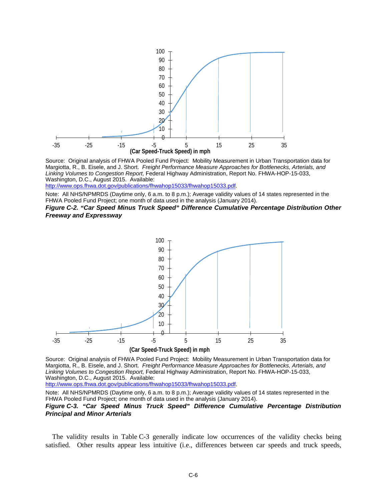

Source: Original analysis of FHWA Pooled Fund Project: Mobility Measurement in Urban Transportation data for Margiotta, R., B. Eisele, and J. Short. *Freight Performance Measure Approaches for Bottlenecks, Arterials, and Linking Volumes to Congestion Report,* Federal Highway Administration, Report No. FHWA-HOP-15-033, Washington, D.C., August 2015. Available:

[http://www.ops.fhwa.dot.gov/publications/fhwahop15033/fhwahop15033.pdf.](http://www.ops.fhwa.dot.gov/publications/fhwahop15033/fhwahop15033.pdf)

Note: All NHS/NPMRDS (Daytime only, 6 a.m. to 8 p.m.); Average validity values of 14 states represented in the FHWA Pooled Fund Project; one month of data used in the analysis (January 2014).

*Figure C-2. "Car Speed Minus Truck Speed" Difference Cumulative Percentage Distribution Other Freeway and Expressway*



Source: Original analysis of FHWA Pooled Fund Project: Mobility Measurement in Urban Transportation data for Margiotta, R., B. Eisele, and J. Short. *Freight Performance Measure Approaches for Bottlenecks, Arterials, and Linking Volumes to Congestion Report,* Federal Highway Administration, Report No. FHWA-HOP-15-033, Washington, D.C., August 2015. Available:

[http://www.ops.fhwa.dot.gov/publications/fhwahop15033/fhwahop15033.pdf.](http://www.ops.fhwa.dot.gov/publications/fhwahop15033/fhwahop15033.pdf)

Note: All NHS/NPMRDS (Daytime only, 6 a.m. to 8 p.m.); Average validity values of 14 states represented in the FHWA Pooled Fund Project; one month of data used in the analysis (January 2014).

#### *Figure C-3. "Car Speed Minus Truck Speed" Difference Cumulative Percentage Distribution Principal and Minor Arterials*

The validity results in Table C-3 generally indicate low occurrences of the validity checks being satisfied. Other results appear less intuitive (i.e., differences between car speeds and truck speeds,